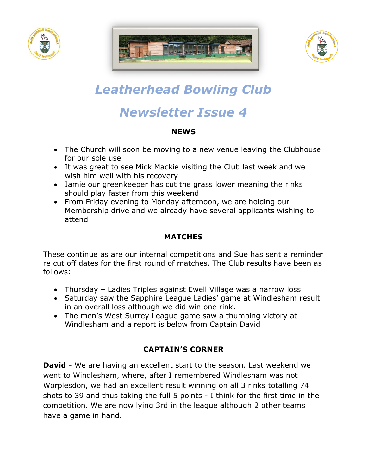





# *Leatherhead Bowling Club*

## *Newsletter Issue 4*

#### **NEWS**

- The Church will soon be moving to a new venue leaving the Clubhouse for our sole use
- It was great to see Mick Mackie visiting the Club last week and we wish him well with his recovery
- Jamie our greenkeeper has cut the grass lower meaning the rinks should play faster from this weekend
- From Friday evening to Monday afternoon, we are holding our Membership drive and we already have several applicants wishing to attend

### **MATCHES**

These continue as are our internal competitions and Sue has sent a reminder re cut off dates for the first round of matches. The Club results have been as follows:

- Thursday Ladies Triples against Ewell Village was a narrow loss
- Saturday saw the Sapphire League Ladies' game at Windlesham result in an overall loss although we did win one rink.
- The men's West Surrey League game saw a thumping victory at Windlesham and a report is below from Captain David

### **CAPTAIN'S CORNER**

**David** - We are having an excellent start to the season. Last weekend we went to Windlesham, where, after I remembered Windlesham was not Worplesdon, we had an excellent result winning on all 3 rinks totalling 74 shots to 39 and thus taking the full 5 points - I think for the first time in the competition. We are now lying 3rd in the league although 2 other teams have a game in hand.